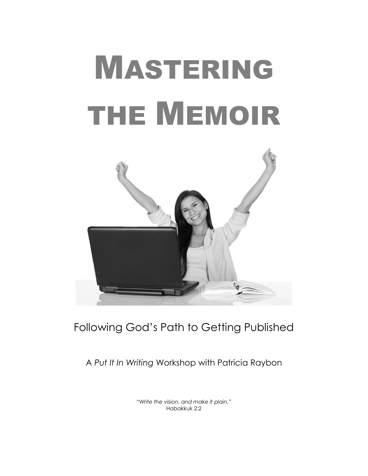# MASTERING THE MEMOIR



# Following God's Path to Getting Published

A *Put It In Writing* Workshop with Patricia Raybon

*"Write the vision, and make it plain."* Habakkuk 2:2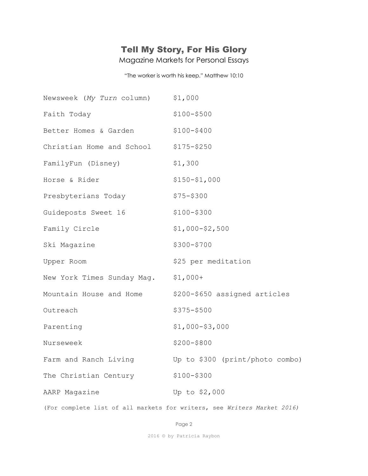## Tell My Story, For His Glory

Magazine Markets for Personal Essays

"The worker is worth his keep." Matthew 10:10

| Newsweek (My Turn column)           | \$1,000                         |
|-------------------------------------|---------------------------------|
| Faith Today                         | $$100 - $500$                   |
| Better Homes & Garden               | $$100 - $400$                   |
| Christian Home and School           | $$175 - $250$                   |
| FamilyFun (Disney)                  | \$1,300                         |
| Horse & Rider                       | $$150 - $1,000$                 |
| Presbyterians Today                 | $$75 - $300$                    |
| Guideposts Sweet 16                 | $$100 - $300$                   |
| Family Circle                       | $$1,000 - $2,500$               |
| Ski Magazine                        | \$300-\$700                     |
| Upper Room                          | \$25 per meditation             |
| New York Times Sunday Mag. \$1,000+ |                                 |
| Mountain House and Home             | \$200-\$650 assigned articles   |
| Outreach                            | \$375-\$500                     |
| Parenting                           | $$1,000-$3,000$                 |
| Nurseweek                           | $$200 - $800$                   |
| Farm and Ranch Living               | Up to \$300 (print/photo combo) |
| The Christian Century               | $$100 - $300$                   |
| AARP Magazine                       | Up to \$2,000                   |
|                                     |                                 |

(For complete list of all markets for writers, see *Writers Market 2016)*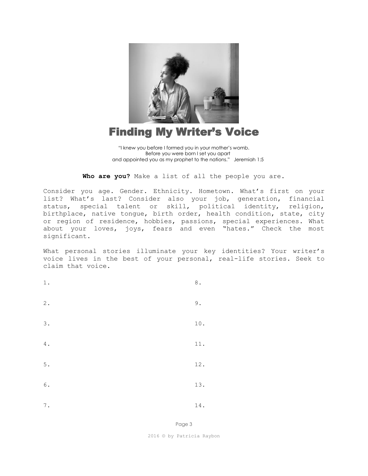

## Finding My Writer's Voice

**Who are you?** Make a list of all the people you are.

Consider you age. Gender. Ethnicity. Hometown. What's first on your list? What's last? Consider also your job, generation, financial status, special talent or skill, political identity, religion, birthplace, native tongue, birth order, health condition, state, city or region of residence, hobbies, passions, special experiences. What about your loves, joys, fears and even "hates." Check the most significant.

What personal stories illuminate your key identities? Your writer's voice lives in the best of your personal, real-life stories. Seek to claim that voice.

| $1\,.$          | $\,8$ .       |
|-----------------|---------------|
| $\mathfrak 2$ . | $\mathsf 9$ . |
| 3.              | $10$ .        |
| $4$ .           | $11$ .        |
| $5$ .           | $12$ .        |
| $\,$ 6 $\,$ .   | $13. \,$      |
| $\mathbf 7$ .   | $14$ .        |

Page 3

2016 © by Patricia Raybon

<sup>&</sup>quot;I knew you before I formed you in your mother's womb. Before you were born I set you apart and appointed you as my prophet to the nations." Jeremiah 1:5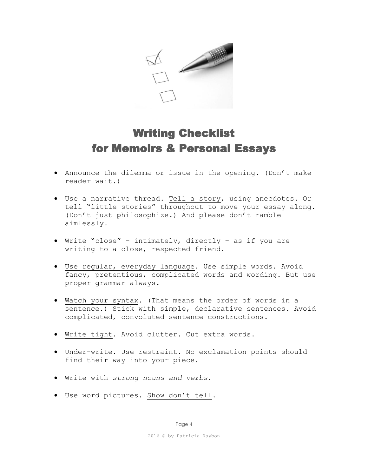

# Writing Checklist for Memoirs & Personal Essays

- Announce the dilemma or issue in the opening. (Don't make reader wait.)
- Use a narrative thread. Tell a story, using anecdotes. Or tell "little stories" throughout to move your essay along. (Don't just philosophize.) And please don't ramble aimlessly.
- Write "close" intimately, directly as if you are writing to a close, respected friend.
- Use regular, everyday language. Use simple words. Avoid fancy, pretentious, complicated words and wording. But use proper grammar always.
- Watch your syntax. (That means the order of words in a sentence.) Stick with simple, declarative sentences. Avoid complicated, convoluted sentence constructions.
- Write tight. Avoid clutter. Cut extra words.
- Under-write. Use restraint. No exclamation points should find their way into your piece.
- Write with *strong nouns and verbs*.
- Use word pictures. Show don't tell.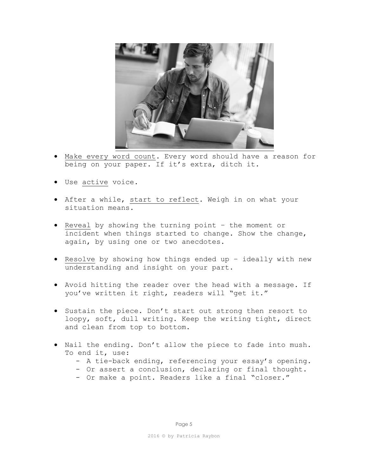

- Make every word count. Every word should have a reason for being on your paper. If it's extra, ditch it.
- Use active voice.
- After a while, start to reflect. Weigh in on what your situation means.
- Reveal by showing the turning point the moment or incident when things started to change. Show the change, again, by using one or two anecdotes.
- Resolve by showing how things ended up ideally with new understanding and insight on your part.
- Avoid hitting the reader over the head with a message. If you've written it right, readers will "get it."
- Sustain the piece. Don't start out strong then resort to loopy, soft, dull writing. Keep the writing tight, direct and clean from top to bottom.
- Nail the ending. Don't allow the piece to fade into mush. To end it, use:
	- A tie-back ending, referencing your essay's opening.
	- Or assert a conclusion, declaring or final thought.
	- Or make a point. Readers like a final "closer."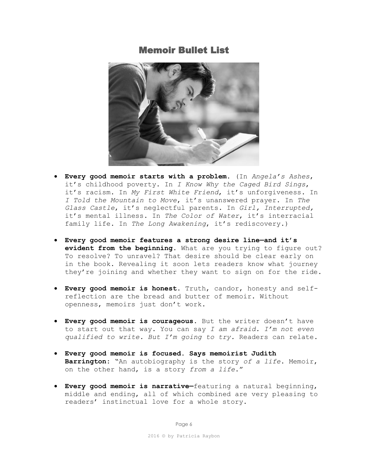### Memoir Bullet List



- **Every good memoir starts with a problem.** (In *Angela's Ashes*, it's childhood poverty. In *I Know Why the Caged Bird Sings*, it's racism. In *My First White Friend*, it's unforgiveness. In *I Told the Mountain to Move*, it's unanswered prayer. In *The Glass Castle*, it's neglectful parents. In *Girl, Interrupted,* it's mental illness. In *The Color of Water*, it's interracial family life. In *The Long Awakening*, it's rediscovery.)
- **Every good memoir features a strong desire line—and it's evident from the beginning**. What are you trying to figure out? To resolve? To unravel? That desire should be clear early on in the book. Revealing it soon lets readers know what journey they're joining and whether they want to sign on for the ride.
- **Every good memoir is honest.** Truth, candor, honesty and selfreflection are the bread and butter of memoir. Without openness, memoirs just don't work.
- **Every good memoir is courageous.** But the writer doesn't have to start out that way. You can say *I am afraid. I'm not even qualified to write. But I'm going to try.* Readers can relate.
- **Every good memoir is focused. Says memoirist Judith Barrington:** "An autobiography is the story *of a life*. Memoir, on the other hand, is a story *from a life*."
- **Every good memoir is narrative—**featuring a natural beginning, middle and ending, all of which combined are very pleasing to readers' instinctual love for a whole story.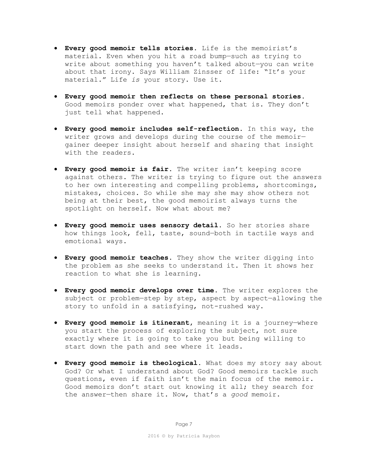- **Every good memoir tells stories.** Life is the memoirist's material. Even when you hit a road bump—such as trying to write about something you haven't talked about—you can write about that irony. Says William Zinsser of life: "It's your material." Life *is* your story. Use it.
- **Every good memoir then reflects on these personal stories.**  Good memoirs ponder over what happened, that is. They don't just tell what happened.
- **Every good memoir includes self-reflection**. In this way, the writer grows and develops during the course of the memoir gainer deeper insight about herself and sharing that insight with the readers.
- **Every good memoir is fair.** The writer isn't keeping score against others. The writer is trying to figure out the answers to her own interesting and compelling problems, shortcomings, mistakes, choices. So while she may she may show others not being at their best, the good memoirist always turns the spotlight on herself. Now what about me?
- **Every good memoir uses sensory detail.** So her stories share how things look, fell, taste, sound—both in tactile ways and emotional ways.
- **Every good memoir teaches.** They show the writer digging into the problem as she seeks to understand it. Then it shows her reaction to what she is learning.
- **Every good memoir develops over time.** The writer explores the subject or problem-step by step, aspect by aspect-allowing the story to unfold in a satisfying, not-rushed way.
- **Every good memoir is itinerant,** meaning it is a journey—where you start the process of exploring the subject, not sure exactly where it is going to take you but being willing to start down the path and see where it leads.
- **Every good memoir is theological.** What does my story say about God? Or what I understand about God? Good memoirs tackle such questions, even if faith isn't the main focus of the memoir. Good memoirs don't start out knowing it all; they search for the answer—then share it. Now, that's a *good* memoir.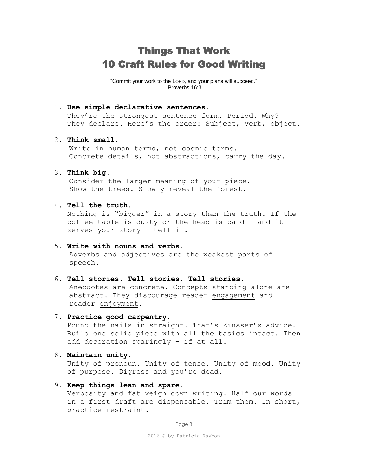## Things That Work 10 Craft Rules for Good Writing

"Commit your work to the LORD, and your plans will succeed." Proverbs 16:3

#### 1. **Use simple declarative sentences.**

They're the strongest sentence form. Period. Why? They declare. Here's the order: Subject, verb, object.

#### 2. **Think small.**

Write in human terms, not cosmic terms. Concrete details, not abstractions, carry the day.

#### 3. **Think big.**

Consider the larger meaning of your piece. Show the trees. Slowly reveal the forest.

#### 4. **Tell the truth.**

 Nothing is "bigger" in a story than the truth. If the coffee table is dusty or the head is bald – and it serves your story – tell it.

#### 5. **Write with nouns and verbs.**

 Adverbs and adjectives are the weakest parts of speech.

#### 6. **Tell stories. Tell stories. Tell stories.**

 Anecdotes are concrete. Concepts standing alone are abstract. They discourage reader engagement and reader enjoyment.

#### 7. **Practice good carpentry.**

 Pound the nails in straight. That's Zinsser's advice. Build one solid piece with all the basics intact. Then add decoration sparingly – if at all.

#### 8. **Maintain unity.**

 Unity of pronoun. Unity of tense. Unity of mood. Unity of purpose. Digress and you're dead.

#### 9. **Keep things lean and spare.**

 Verbosity and fat weigh down writing. Half our words in a first draft are dispensable. Trim them. In short, practice restraint.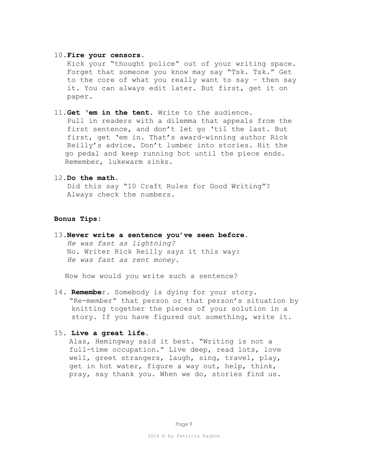#### 10.**Fire your censors.**

 Kick your "thought police" out of your writing space. Forget that someone you know may say "Tsk. Tsk." Get to the core of what you really want to say – then say it. You can always edit later. But first, get it on paper.

11.**Get 'em in the tent.** Write to the audience.

Pull in readers with a dilemma that appeals from the first sentence, and don't let go 'til the last. But first, get 'em in. That's award-winning author Rick Reilly's advice. Don't lumber into stories. Hit the go pedal and keep running hot until the piece ends. Remember, lukewarm sinks.

12.**Do the math.**

 Did this say "10 Craft Rules for Good Writing"? Always check the numbers.

#### **Bonus Tips:**

13.**Never write a sentence you've seen before.**  *He was fast as lightning?* No. Writer Rick Reilly says it this way:  *He was fast as rent money.*

Now how would *you* write such a sentence?

14. **Remembe**r. Somebody is dying for your story. "Re-member" that person or that person's situation by knitting together the pieces of your solution in a story. If you have figured out something, write it.

#### 15. **Live a great life.**

Alas, Hemingway said it best. "Writing is not a full-time occupation." Live deep, read lots, love well, greet strangers, laugh, sing, travel, play, get in hot water, figure a way out, help, think, pray, say thank you. When we do, stories find us.